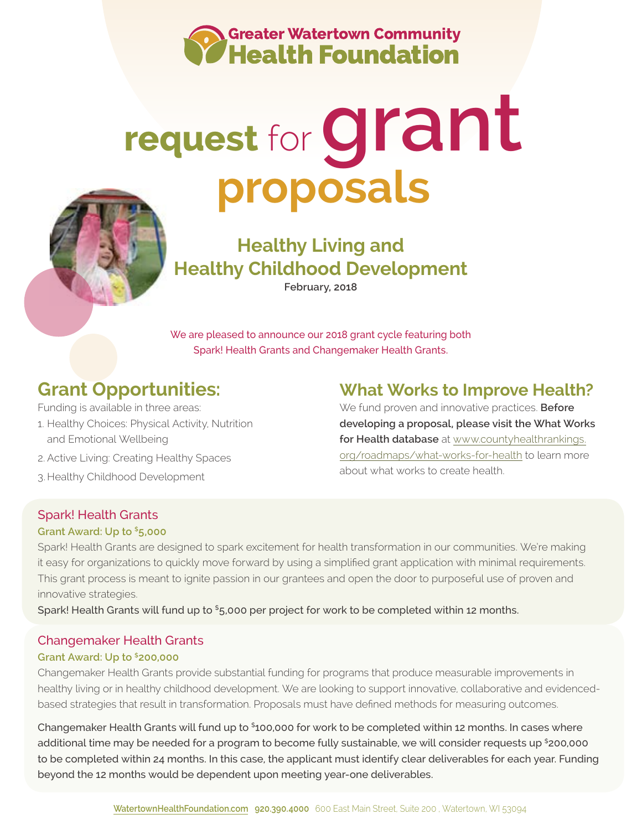

# **request** for**grant proposals**



## **Healthy Living and Healthy Childhood Development**

**February, 2018**

We are pleased to announce our 2018 grant cycle featuring both Spark! Health Grants and Changemaker Health Grants.

## **Grant Opportunities:**

- Funding is available in three areas: 1. Healthy Choices: Physical Activity, Nutrition and Emotional Wellbeing
- 2. Active Living: Creating Healthy Spaces
- 3. Healthy Childhood Development

## **What Works to Improve Health?**

We fund proven and innovative practices. **Before developing a proposal, please visit the What Works for Health database** at [www.countyhealthrankings.](http://www.countyhealthrankings.org/roadmaps/what-works-for-health) [org/roadmaps/what-works-for-health](http://www.countyhealthrankings.org/roadmaps/what-works-for-health) to learn more about what works to create health.

#### Spark! Health Grants

#### **Grant Award: Up to \$5,000**

Spark! Health Grants are designed to spark excitement for health transformation in our communities. We're making it easy for organizations to quickly move forward by using a simplified grant application with minimal requirements. This grant process is meant to ignite passion in our grantees and open the door to purposeful use of proven and innovative strategies.

Spark! Health Grants will fund up to \$5,000 per project for work to be completed within 12 months.

#### Changemaker Health Grants

#### **Grant Award: Up to \$200,000**

Changemaker Health Grants provide substantial funding for programs that produce measurable improvements in healthy living or in healthy childhood development. We are looking to support innovative, collaborative and evidencedbased strategies that result in transformation. Proposals must have defined methods for measuring outcomes.

Changemaker Health Grants will fund up to \$100,000 for work to be completed within 12 months. In cases where additional time may be needed for a program to become fully sustainable, we will consider requests up \$200,000 to be completed within 24 months. In this case, the applicant must identify clear deliverables for each year. Funding beyond the 12 months would be dependent upon meeting year-one deliverables.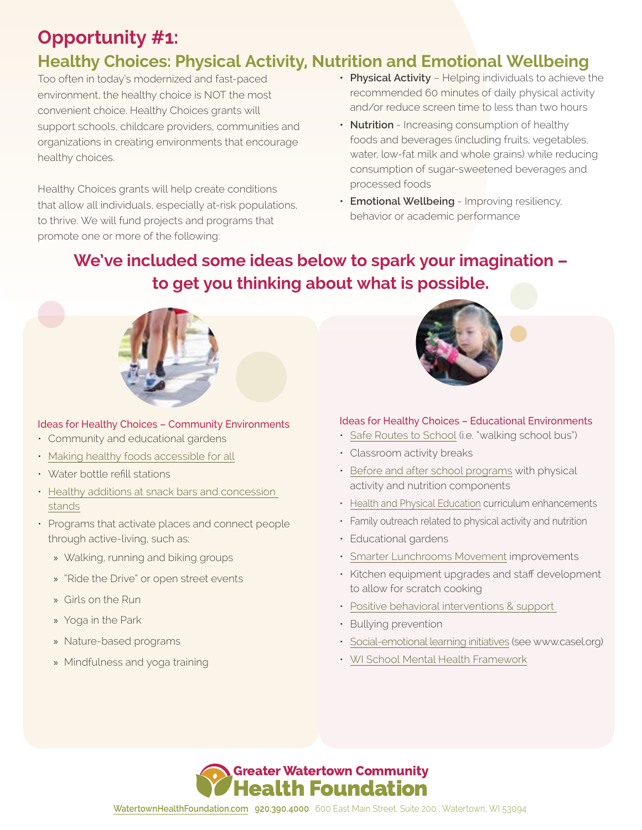## **Opportunity #1: Healthy Choices: Physical Activity, Nutrition and Emotional Wellbeing**

Too often in today's modernized and fast-paced environment, the healthy choice is NOT the most convenient choice. Healthy Choices grants will support schools, childcare providers, communities and organizations in creating environments that encourage healthy choices.

Healthy Choices grants will help create conditions that allow all individuals, especially at-risk populations, to thrive. We will fund projects and programs that promote one or more of the following:

- **• Physical Activity** Helping individuals to achieve the recommended 60 minutes of daily physical activity and/or reduce screen time to less than two hours
- **• Nutrition**  Increasing consumption of healthy foods and beverages (including fruits, vegetables, water, low-fat milk and whole grains) while reducing consumption of sugar-sweetened beverages and processed foods
- **• Emotional Wellbeing** Improving resiliency, behavior or academic performance

## **We've included some ideas below to spark your imagination – to get you thinking about what is possible.**



#### Ideas for Healthy Choices – Community Environments

- Community and educational gardens
- [Making healthy foods accessible for all](http://hubcityfm.org/about/who-we-are/)
- Water bottle refill stations
- [Healthy additions at snack bars and concession](http://www.healthyheartprogram.com/wp-content/uploads/2013/11/HealthyFoodChoicesForConcessions.pdf)  [stands](http://www.healthyheartprogram.com/wp-content/uploads/2013/11/HealthyFoodChoicesForConcessions.pdf)
- Programs that activate places and connect people through active-living, such as:
	- » Walking, running and biking groups
	- » "Ride the Drive" or open street events
	- » Girls on the Run
	- » Yoga in the Park
	- » Nature-based programs
	- » Mindfulness and yoga training



#### Ideas for Healthy Choices – Educational Environments

- [Safe Routes to School](http://www.saferoutesinfo.org/) (i.e. "walking school bus")
- Classroom activity breaks
- [Before and after school programs](http://www.letsgo.org/programs/after-school/) with physical activity and nutrition components
- [Health and Physical Education](http://catchinfo.org/) curriculum enhancements
- Family outreach related to physical activity and nutrition
- Educational gardens
- [Smarter Lunchrooms Movement](http://smarterlunchrooms.org/news/lunch-line-redesign) improvements
- Kitchen equipment upgrades and staff development to allow for scratch cooking
- [Positive behavioral interventions & support](http://www.pbis.org/)
- Bullying prevention
- [Social-emotional learning initiatives](http://www.casel.org) (see www.casel.org)
- [WI School Mental Health Framework](http://dpi.wi.gov/sspw/mental-health/framework)

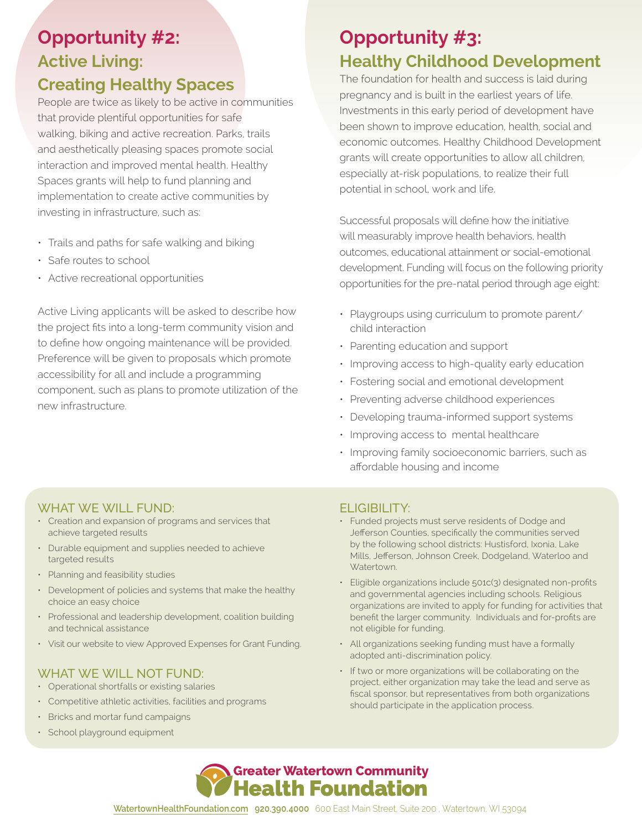## **Opportunity #2: Active Living:**

### **Creating Healthy Spaces**

People are twice as likely to be active in communities that provide plentiful opportunities for safe walking, biking and active recreation. Parks, trails and aesthetically pleasing spaces promote social interaction and improved mental health. Healthy Spaces grants will help to fund planning and implementation to create active communities by investing in infrastructure, such as:

- Trails and paths for safe walking and biking
- Safe routes to school
- Active recreational opportunities

Active Living applicants will be asked to describe how the project fits into a long-term community vision and to define how ongoing maintenance will be provided. Preference will be given to proposals which promote accessibility for all and include a programming component, such as plans to promote utilization of the new infrastructure.

## **Opportunity #3: Healthy Childhood Development**

The foundation for health and success is laid during pregnancy and is built in the earliest years of life. Investments in this early period of development have been shown to improve education, health, social and economic outcomes. Healthy Childhood Development grants will create opportunities to allow all children, especially at-risk populations, to realize their full potential in school, work and life.

Successful proposals will define how the initiative will measurably improve health behaviors, health outcomes, educational attainment or social-emotional development. Funding will focus on the following priority opportunities for the pre-natal period through age eight:

- Playgroups using curriculum to promote parent/ child interaction
- Parenting education and support
- Improving access to high-quality early education
- Fostering social and emotional development
- Preventing adverse childhood experiences
- Developing trauma-informed support systems
- Improving access to mental healthcare
- Improving family socioeconomic barriers, such as affordable housing and income

#### WHAT WE WILL FUND:

- Creation and expansion of programs and services that achieve targeted results
- Durable equipment and supplies needed to achieve targeted results
- Planning and feasibility studies
- Development of policies and systems that make the healthy choice an easy choice
- Professional and leadership development, coalition building and technical assistance
- Visit our website to view Approved Expenses for Grant Funding.

#### WHAT WE WILL NOT FUND:

- Operational shortfalls or existing salaries
- Competitive athletic activities, facilities and programs
- Bricks and mortar fund campaigns
- School playground equipment

#### ELIGIBILITY:

- Funded projects must serve residents of Dodge and Jefferson Counties, specifically the communities served by the following school districts: Hustisford, Ixonia, Lake Mills, Jefferson, Johnson Creek, Dodgeland, Waterloo and Watertown.
- Eligible organizations include 501c(3) designated non-profits and governmental agencies including schools. Religious organizations are invited to apply for funding for activities that benefit the larger community. Individuals and for-profits are not eligible for funding.
- All organizations seeking funding must have a formally adopted anti-discrimination policy.
- If two or more organizations will be collaborating on the project, either organization may take the lead and serve as fiscal sponsor, but representatives from both organizations should participate in the application process.